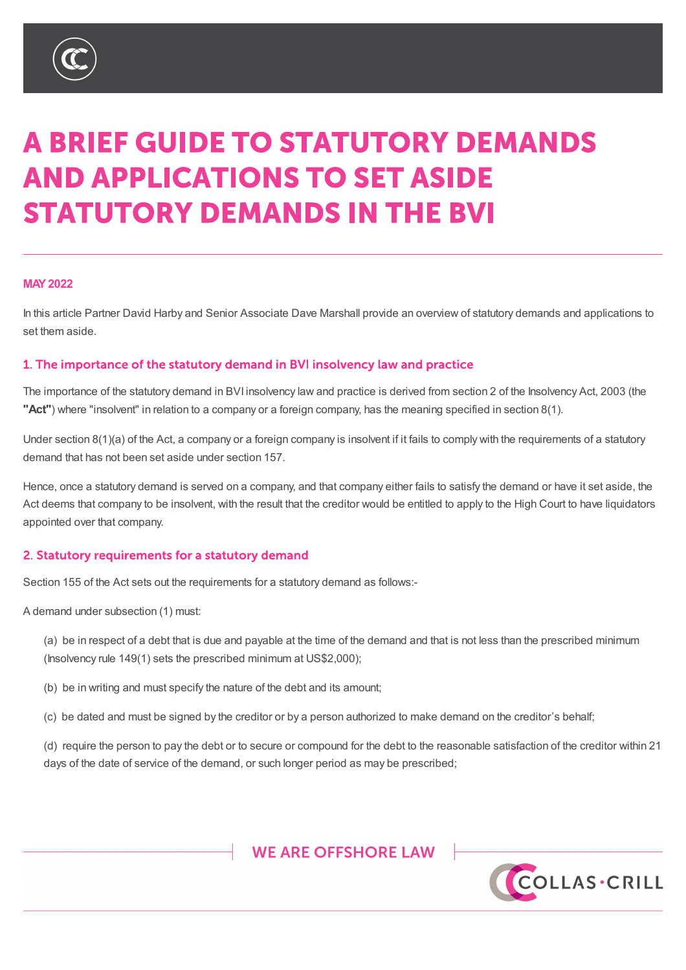

# **A BRIEF GUIDE TO STATUTORY DEMANDS AND APPLICATIONS TO SET ASIDE STATUTORY DEMANDS IN THE BVI**

#### **MAY2022**

In this article Partner David Harby and Senior Associate Dave Marshall provide an overview of statutory demands and applications to set them aside.

#### 1. The importance of the statutory demand in BVI insolvency law and practice

The importance of the statutory demand in BVI insolvency law and practice is derived from section 2 of the Insolvency Act, 2003 (the **"Act"**) where "insolvent" in relation to a company or a foreign company, has the meaning specified in section 8(1).

Under section 8(1)(a) of the Act, a company or a foreign company is insolvent if it fails to comply with the requirements of a statutory demand that has not been set aside under section 157.

Hence, once a statutory demand is served on a company, and that company either fails to satisfy the demand or have it set aside, the Act deems that company to be insolvent, with the result that the creditor would be entitled to apply to the High Court to have liquidators appointed over that company.

#### 2. Statutory requirements for a statutory demand

Section 155 of the Act sets out the requirements for a statutory demand as follows:-

A demand under subsection (1) must:

(a) be in respect of a debt that is due and payable at the time of the demand and that is not less than the prescribed minimum (Insolvency rule 149(1) sets the prescribed minimum at US\$2,000);

(b) be in writing and must specify the nature of the debt and its amount;

(c) be dated and must be signed by the creditor or by a person authorized to make demand on the creditor's behalf;

(d) require the person to pay the debt or to secure or compound for the debt to the reasonable satisfaction of the creditor within 21 days of the date of service of the demand, or such longer period as may be prescribed;

# WE ARE OFFSHORE LAW

%9,\_&D\PDQ\_\*XHUQVH\\_-HUVH\\_/RQGRQ

COLLAS.CRILL

TKLV QRWH LV DVXPPDU\RIWKH VXEMHFW DQG LV SURYLGHG IRU LQIRUPDWLRQ RQO\, WGR EH VRXJKW :KLOVW HYHU\FDUH KDV EHHQ WDNHQ LQ SURGXFLQJ WKLV QRWH QHLWKHU WKH PDWWHUVVHWRXWLQLW\$OOFRS\ULJKWLQWKLVPDWHULDOEHORQJVWR&ROODV&ULOO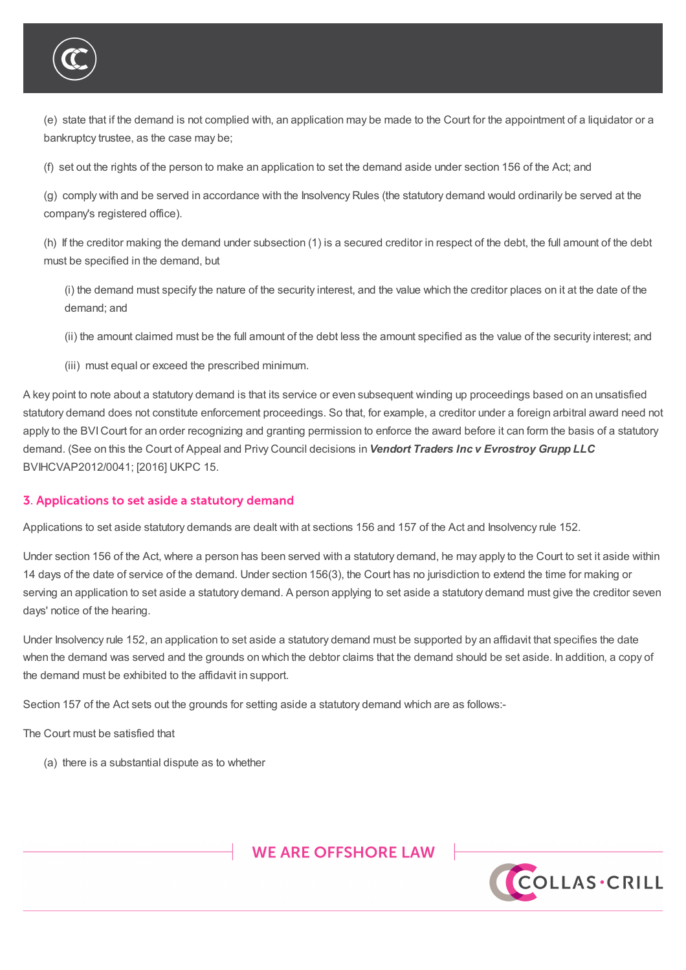

(e) state that if the demand is not complied with, an application may be made to the Court for the appointment of a liquidator or a bankruptcy trustee, as the case may be;

(f) set out the rights of the person to make an application to set the demand aside under section 156 of the Act; and

(g) comply with and be served in accordance with the Insolvency Rules (the statutory demand would ordinarily be served at the company's registered office).

(h) If the creditor making the demand under subsection (1) is a secured creditor in respect of the debt, the full amount of the debt must be specified in the demand, but

(i) the demand must specify the nature of the security interest, and the value which the creditor places on it at the date of the demand; and

(ii) the amount claimed must be the full amount of the debt less the amount specified as the value of the security interest; and

(iii) must equal or exceed the prescribed minimum.

A key point to note about a statutory demand is that its service or even subsequent winding up proceedings based on an unsatisfied statutory demand does not constitute enforcement proceedings. So that, for example, a creditor under a foreign arbitral award need not apply to the BVICourt for an order recognizing and granting permission to enforce the award before it can form the basis of a statutory demand. (See on this the Court of Appeal and Privy Council decisions in *Vendort Traders Inc v Evrostroy Grupp LLC* BVIHCVAP2012/0041; [2016] UKPC 15.

#### 3. Applications to set aside a statutory demand

Applications to set aside statutory demands are dealt with at sections 156 and 157 of the Act and Insolvency rule 152.

Under section 156 of the Act, where a person has been served with a statutory demand, he may apply to the Court to set it aside within 14 days of the date of service of the demand. Under section 156(3), the Court has no jurisdiction to extend the time for making or serving an application to set aside a statutory demand. A person applying to set aside a statutory demand must give the creditor seven days' notice of the hearing.

Under Insolvency rule 152, an application to set aside a statutory demand must be supported by an affidavit that specifies the date when the demand was served and the grounds on which the debtor claims that the demand should be set aside. In addition, a copy of the demand must be exhibited to the affidavit in support.

Section 157 of the Act sets out the grounds for setting aside a statutory demand which are as follows:-

The Court must be satisfied that

(a) there is a substantial dispute as to whether



%9,\_&D\PDQ\_\*XHUQVH\\_-HUVH\\_/RQGRQ



.<br>FH VRXJKW :KLOVW HYHU\FDUH KDV FHHO WDNHO LO SURGXFLOJ WKLV ORWH OHLWKHU WKH<br>FH VRXJKW :KLOVW HYHU\FDUH KDV FHHO WDNHO LO SURGXFLOJ WKLV ORWH OHLWKHU WKH EH VRXJKW :KLOVW HYHU\FDUH KDV EHHQ WDNHQ LQ SURGXFLQJ WKLV QRWH QHLWKHU WKH PDWWHUVVHWRXWLQLW\$OOFRS\ULJKWLQWKLVPDWHULDOEHORQJVWR&ROODV&ULOO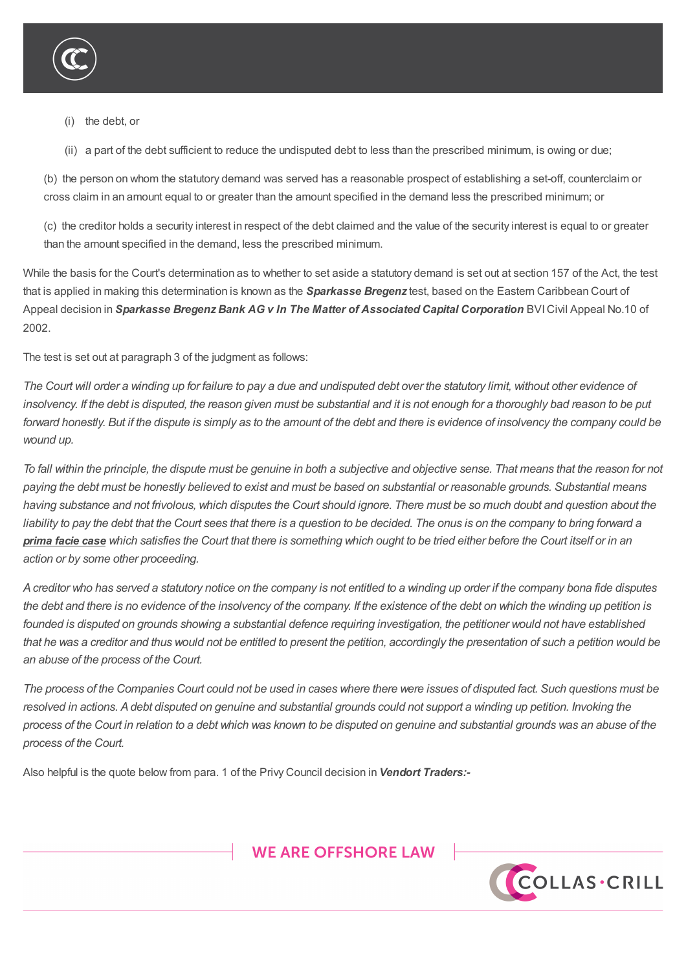

(i) the debt, or

(ii) a part of the debt sufficient to reduce the undisputed debt to less than the prescribed minimum, is owing or due;

(b) the person on whom the statutory demand was served has a reasonable prospect of establishing a set-off, counterclaim or cross claim in an amount equal to or greater than the amount specified in the demand less the prescribed minimum; or

(c) the creditor holds a security interest in respect of the debt claimed and the value of the security interest is equal to or greater than the amount specified in the demand, less the prescribed minimum.

While the basis for the Court's determination as to whether to set aside a statutory demand is set out at section 157 of the Act, the test that is applied in making this determination is known as the *Sparkasse Bregenz* test, based on the Eastern Caribbean Court of Appeal decision in *Sparkasse Bregenz Bank AG v In The Matter of Associated Capital Corporation* BVICivil Appeal No.10 of 2002.

The test is set out at paragraph 3 of the judgment as follows:

The Court will order a winding up for failure to pay a due and undisputed debt over the statutory limit, without other evidence of insolvency. If the debt is disputed, the reason given must be substantial and it is not enough for a thoroughly bad reason to be put forward honestly. But if the dispute is simply as to the amount of the debt and there is evidence of insolvency the company could be *wound up.*

To fall within the principle, the dispute must be genuine in both a subjective and objective sense. That means that the reason for not paying the debt must be honestly believed to exist and must be based on substantial or reasonable grounds. Substantial means having substance and not frivolous, which disputes the Court should ignore. There must be so much doubt and question about the liability to pay the debt that the Court sees that there is a question to be decided. The onus is on the company to bring forward a prima facie case which satisfies the Court that there is something which ought to be tried either before the Court itself or in an *action or by some other proceeding.*

A creditor who has served a statutory notice on the company is not entitled to a winding up order if the company bona fide disputes the debt and there is no evidence of the insolvency of the company. If the existence of the debt on which the winding up petition is founded is disputed on grounds showing a substantial defence requiring investigation, the petitioner would not have established that he was a creditor and thus would not be entitled to present the petition, accordingly the presentation of such a petition would be *an abuse of the process of the Court.*

The process of the Companies Court could not be used in cases where there were issues of disputed fact. Such questions must be resolved in actions. A debt disputed on genuine and substantial grounds could not support a winding up petition. Invoking the process of the Court in relation to a debt which was known to be disputed on genuine and substantial grounds was an abuse of the *process of the Court.*

Also helpful is the quote below from para. 1 of the Privy Council decision in *Vendort Traders:-*





%9,\_&D\PDQ\_\*XHUQVH\\_-HUVH\\_/RQGRQ

.<br>FH VRXJKW :KLOVW HYHU\FDUH KDV FHHO WDNHO LO SURGXFLOJ WKLV ORWH OHLWKHU WKH<br>FH VRXJKW :KLOVW HYHU\FDUH KDV FHHO WDNHO LO SURGXFLOJ WKLV ORWH OHLWKHU WKH EH VRXJKW :KLOVW HYHU\FDUH KDV EHHQ WDNHQ LQ SURGXFLQJ WKLV QRWH QHLWKHU WKH PDWWHUVVHWRXWLQLW\$OOFRS\ULJKWLQWKLVPDWHULDOEHORQJVWR&ROODV&ULOO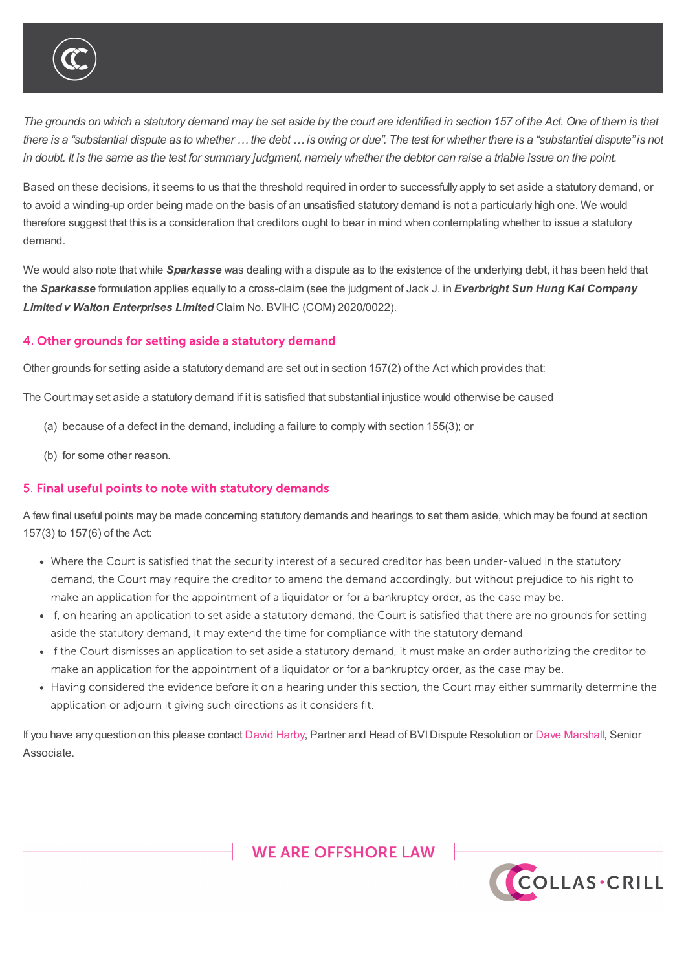

#### AAA U P IVI IVI D I U J J IVI

The grounds on which a statutory demand may be set aside by the court are identified in section 157 of the Act. One of them is that there is a "substantial dispute as to whether ... the debt ... is owing or due". The test for whether there is a "substantial dispute" is not in doubt. It is the same as the test for summary judgment, namely whether the debtor can raise a triable issue on the point.

Based on these decisions, it seems to us that the threshold required in order to successfully apply to set aside a statutory demand, or to avoid a winding-up order being made on the basis of an unsatisfied statutory demand is not a particularly high one. We would therefore suggest that this is a consideration that creditors ought to bear in mind when contemplating whether to issue a statutory demand.

We would also note that while *Sparkasse* was dealing with a dispute as to the existence of the underlying debt, it has been held that the *Sparkasse* formulation applies equally to a cross-claim (see the judgment of Jack J. in *Everbright Sun Hung Kai Company Limited v Walton Enterprises Limited* Claim No. BVIHC (COM) 2020/0022).

### 4. Other grounds for setting aside a statutory demand

Other grounds for setting aside a statutory demand are set out in section 157(2) of the Act which provides that:

The Court may set aside a statutory demand if it is satisfied that substantial injustice would otherwise be caused

(a) because of a defect in the demand, including a failure to comply with section 155(3); or

Also helpful is the quote below from para. 1 of the Privy Council decision in *Vendort Traders:-*

(b) for some other reason.

#### 5. Final useful points to note with statutory demands

A few final useful points may be made concerning statutory demands and hearings to set them aside, which may be found at section 157(3) to 157(6) of the Act:

- Where the Court is satisfied that the security interest of a secured creditor has been under-valued in the statutory demand, the Court may require the creditor to amend the demand accordingly, but without prejudice to his right to make an application for the appointment of a liquidator or for a bankruptcy order, as the case may be.
- If, on hearing an application to set aside a statutory demand, the Court is satisfied that there are no grounds for setting aside the statutory demand, it may extend the time for compliance with the statutory demand.
- If the Court dismisses an application to set aside a statutory demand, it must make an order authorizing the creditor to make an application for the appointment of a liquidator or for a bankruptcy order, as the case may be.
- Having considered the evidence before it on a hearing under this section, the Court may either summarily determine the application or adjourn it giving such directions as it considers fit.

If you have any question on this please contact David Harby, Partner and Head of BVI Dispute Resolution or Dave Marshall, Senior Associate.

# **WE ARE OFFSHORE LAW**



%9,\_&D\PDQ\_\*XHUQVH\\_-HUVH\\_/RQGRQ

TKLV QRWH LV DVXPPDU\RIWKH VXEMHFW DQG LV SURYLGHG IRU LQIRUPDWLRQ RQO\, WGR<br>FH VRXJKW :KLOVW HYHU\FDUH KDV EHHQ WDNHQ LQ SURGXFLQJ WKLV QRWH QHLWKHU WKH )<br>FDWWHUV VHW RXW LQLW \$00 FRS\ULJKW LQWKLV PDWHULDO EHORQJVWR &ROODV&ULOO SOO FRS\ULJKW LQ WKLV PDWHULDO EHORQJV WR &ROODV &ULOO